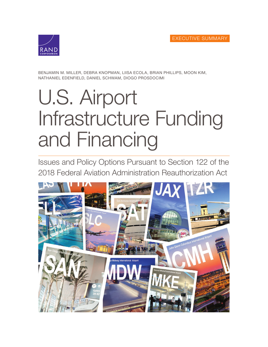

BENJAMIN M. MILLER, DEBRA KNOPMAN, LIISA ECOLA, BRIAN PHILLIPS, MOON KIM, NATHANIEL EDENFIELD, DANIEL SCHWAM, DIOGO PROSDOCIMI

# U.S. Airport [Infrastructure Funding](https://www.rand.org/pubs/research_reports/RR3175z2.html)  and Financing

Issues and Policy Options Pursuant to Section 122 of the 2018 Federal Aviation Administration Reauthorization Act

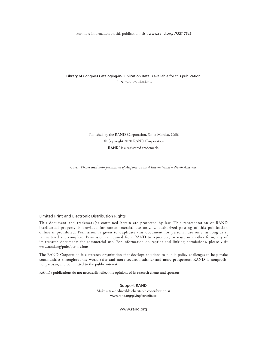For more information on this publication, visit [www.rand.org/t/RR3175z2](http://www.rand.org/t/RR3175z2)

**Library of Congress Cataloging-in-Publication Data** is available for this publication. ISBN: 978-1-9774-0428-2

> Published by the RAND Corporation, Santa Monica, Calif. © Copyright 2020 RAND Corporation RAND<sup>®</sup> is a registered trademark.

*Cover: Photos used with permission of Airports Council International – North America.*

#### Limited Print and Electronic Distribution Rights

This document and trademark(s) contained herein are protected by law. This representation of RAND intellectual property is provided for noncommercial use only. Unauthorized posting of this publication online is prohibited. Permission is given to duplicate this document for personal use only, as long as it is unaltered and complete. Permission is required from RAND to reproduce, or reuse in another form, any of its research documents for commercial use. For information on reprint and linking permissions, please visit [www.rand.org/pubs/permissions.](http://www.rand.org/pubs/permissions)

The RAND Corporation is a research organization that develops solutions to public policy challenges to help make communities throughout the world safer and more secure, healthier and more prosperous. RAND is nonprofit, nonpartisan, and committed to the public interest.

RAND's publications do not necessarily reflect the opinions of its research clients and sponsors.

Support RAND Make a tax-deductible charitable contribution at [www.rand.org/giving/contribute](http://www.rand.org/giving/contribute)

[www.rand.org](http://www.rand.org)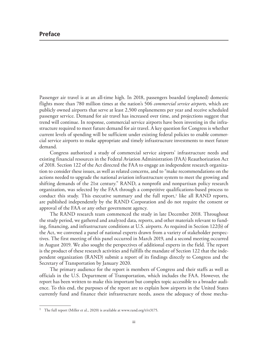Passenger air travel is at an all-time high. In 2018, passengers boarded (enplaned) domestic flights more than 780 million times at the nation's 506 *commercial service airports*, which are publicly owned airports that serve at least 2,500 enplanements per year and receive scheduled passenger service. Demand for air travel has increased over time, and projections suggest that trend will continue. In response, commercial service airports have been investing in the infrastructure required to meet future demand for air travel. A key question for Congress is whether current levels of spending will be sufficient under existing federal policies to enable commercial service airports to make appropriate and timely infrastructure investments to meet future demand.

Congress authorized a study of commercial service airports' infrastructure needs and existing financial resources in the Federal Aviation Administration (FAA) Reauthorization Act of 2018. Section 122 of the Act directed the FAA to engage an independent research organization to consider these issues, as well as related concerns, and to "make recommendations on the actions needed to upgrade the national aviation infrastructure system to meet the growing and shifting demands of the 21st century." RAND, a nonprofit and nonpartisan policy research organization, was selected by the FAA through a competitive qualifications-based process to conduct this study. This executive summary and the full report,<sup>1</sup> like all RAND reports, are published independently by the RAND Corporation and do not require the consent or approval of the FAA or any other government agency.

The RAND research team commenced the study in late December 2018. Throughout the study period, we gathered and analyzed data, reports, and other materials relevant to funding, financing, and infrastructure conditions at U.S. airports. As required in Section 122(b) of the Act, we convened a panel of national experts drawn from a variety of stakeholder perspectives. The first meeting of this panel occurred in March 2019, and a second meeting occurred in August 2019. We also sought the perspectives of additional experts in the field. The report is the product of these research activities and fulfills the mandate of Section 122 that the independent organization (RAND) submit a report of its findings directly to Congress and the Secretary of Transportation by January 2020.

The primary audience for the report is members of Congress and their staffs as well as officials in the U.S. Department of Transportation, which includes the FAA. However, the report has been written to make this important but complex topic accessible to a broader audience. To this end, the purposes of the report are to explain how airports in the United States currently fund and finance their infrastructure needs, assess the adequacy of those mecha-

<sup>&</sup>lt;sup>1</sup> The full report (Miller et al., 2020) is available at [www.rand.org/t/rr3175.](http://www.rand.org/t/rr3175)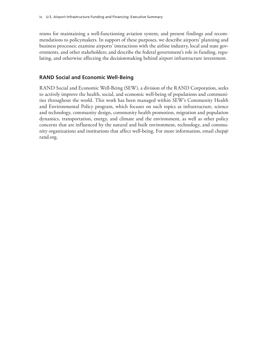nisms for maintaining a well-functioning aviation system, and present findings and recommendations to policymakers. In support of these purposes, we describe airports' planning and business processes; examine airports' interactions with the airline industry, local and state governments, and other stakeholders; and describe the federal government's role in funding, regulating, and otherwise affecting the decisionmaking behind airport infrastructure investment.

# **RAND Social and Economic Well-Being**

RAND Social and Economic Well-Being (SEW), a division of the RAND Corporation, seeks to actively improve the health, social, and economic well-being of populations and communities throughout the world. This work has been managed within SEW's Community Health and Environmental Policy program, which focuses on such topics as infrastructure, science and technology, community design, community health promotion, migration and population dynamics, transportation, energy, and climate and the environment, as well as other policy concerns that are influenced by the natural and built environment, technology, and community organizations and institutions that affect well-being. For more information, email chep@ rand.org.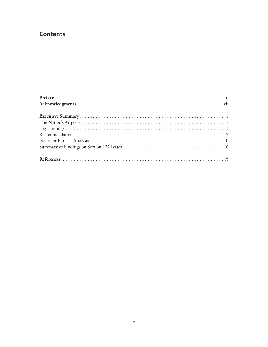# **Contents**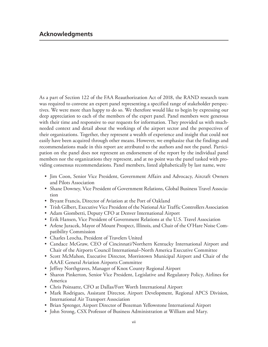As a part of Section 122 of the FAA Reauthorization Act of 2018, the RAND research team was required to convene an expert panel representing a specified range of stakeholder perspectives. We were more than happy to do so. We therefore would like to begin by expressing our deep appreciation to each of the members of the expert panel. Panel members were generous with their time and responsive to our requests for information. They provided us with muchneeded context and detail about the workings of the airport sector and the perspectives of their organizations. Together, they represent a wealth of experience and insight that could not easily have been acquired through other means. However, we emphasize that the findings and recommendations made in this report are attributed to the authors and not the panel. Participation on the panel does not represent an endorsement of the report by the individual panel members nor the organizations they represent, and at no point was the panel tasked with providing consensus recommendations. Panel members, listed alphabetically by last name, were

- Jim Coon, Senior Vice President, Government Affairs and Advocacy, Aircraft Owners and Pilots Association
- Shane Downey, Vice President of Government Relations, Global Business Travel Association
- Bryant Francis, Director of Aviation at the Port of Oakland
- Trish Gilbert, Executive Vice President of the National Air Traffic Controllers Association
- Adam Giombetti, Deputy CFO at Denver International Airport
- Erik Hansen, Vice President of Government Relations at the U.S. Travel Association
- Arlene Juracek, Mayor of Mount Prospect, Illinois, and Chair of the O'Hare Noise Compatibility Commission
- Charles Leocha, President of Travelers United
- Candace McGraw, CEO of Cincinnati/Northern Kentucky International Airport and Chair of the Airports Council International–North America Executive Committee
- Scott McMahon, Executive Director, Morristown Municipal Airport and Chair of the AAAE General Aviation Airports Committee
- Jeffrey Northgraves, Manager of Knox County Regional Airport
- Sharon Pinkerton, Senior Vice President, Legislative and Regulatory Policy, Airlines for America
- Chris Poinsatte, CFO at Dallas/Fort Worth International Airport
- Mark Rodrigues, Assistant Director, Airport Development, Regional APCS Division, International Air Transport Association
- Brian Sprenger, Airport Director of Bozeman Yellowstone International Airport
- John Strong, CSX Professor of Business Administration at William and Mary.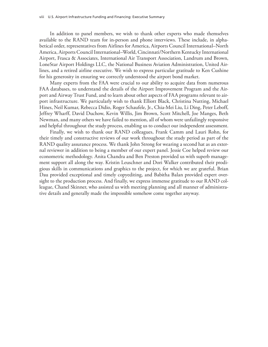In addition to panel members, we wish to thank other experts who made themselves available to the RAND team for in-person and phone interviews. These include, in alphabetical order, representatives from Airlines for America, Airports Council International–North America, Airports Council International–World, Cincinnati/Northern Kentucky International Airport, Frasca & Associates, International Air Transport Association, Landrum and Brown, LoneStar Airport Holdings LLC, the National Business Aviation Administration, United Airlines, and a retired airline executive. We wish to express particular gratitude to Ken Cushine for his generosity in ensuring we correctly understood the airport bond market.

Many experts from the FAA were crucial to our ability to acquire data from numerous FAA databases, to understand the details of the Airport Improvement Program and the Airport and Airway Trust Fund, and to learn about other aspects of FAA programs relevant to airport infrastructure. We particularly wish to thank Elliott Black, Christina Nutting, Michael Hines, Neil Kumar, Rebecca Didio, Roger Schaufele, Jr., Chia-Mei Liu, Li Ding, Peter Leboff, Jeffrey Wharff, David Duchow, Kevin Willis, Jim Brown, Scott Mitchell, Joe Manges, Beth Newman, and many others we have failed to mention, all of whom were unfailingly responsive and helpful throughout the study process, enabling us to conduct our independent assessment.

Finally, we wish to thank our RAND colleagues, Frank Camm and Lauri Rohn, for their timely and constructive reviews of our work throughout the study period as part of the RAND quality assurance process. We thank John Strong for wearing a second hat as an external reviewer in addition to being a member of our expert panel. Jessie Coe helped review our econometric methodology. Anita Chandra and Ben Preston provided us with superb management support all along the way. Kristin Leuschner and Dori Walker contributed their prodigious skills in communications and graphics to the project, for which we are grateful. Brian Dau provided exceptional and timely copyediting, and Babitha Balan provided expert oversight to the production process. And finally, we express immense gratitude to our RAND colleague, Chanel Skinner, who assisted us with meeting planning and all manner of administrative details and generally made the impossible somehow come together anyway.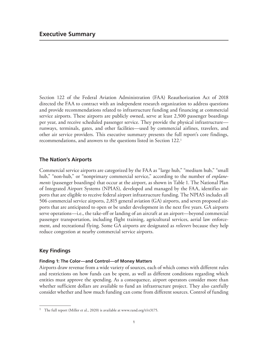Section 122 of the Federal Aviation Administration (FAA) Reauthorization Act of 2018 directed the FAA to contract with an independent research organization to address questions and provide recommendations related to infrastructure funding and financing at commercial service airports. These airports are publicly owned, serve at least 2,500 passenger boardings per year, and receive scheduled passenger service. They provide the physical infrastructure runways, terminals, gates, and other facilities—used by commercial airlines, travelers, and other air service providers. This executive summary presents the full report's core findings, recommendations, and answers to the questions listed in Section 122.1

# **The Nation's Airports**

Commercial service airports are categorized by the FAA as "large hub," "medium hub," "small hub," "non-hub," or "nonprimary commercial service," according to the number of *enplanements* (passenger boardings) that occur at the airport, as shown in Table 1. The National Plan of Integrated Airport Systems (NPIAS), developed and managed by the FAA, identifies airports that are eligible to receive federal airport infrastructure funding. The NPIAS includes all 506 commercial service airports, 2,815 general aviation (GA) airports, and seven proposed airports that are anticipated to open or be under development in the next five years. GA airports serve operations—i.e., the take-off or landing of an aircraft at an airport—beyond commercial passenger transportation, including flight training, agricultural services, aerial law enforcement, and recreational flying. Some GA airports are designated as *relievers* because they help reduce congestion at nearby commercial service airports.

# **Key Findings**

#### **Finding 1: The Color—and Control—of Money Matters**

Airports draw revenue from a wide variety of sources, each of which comes with different rules and restrictions on how funds can be spent, as well as different conditions regarding which entities must approve the spending. As a consequence, airport operators consider more than whether sufficient dollars are available to fund an infrastructure project. They also carefully consider whether and how much funding can come from different sources. Control of funding

<sup>&</sup>lt;sup>1</sup> The full report (Miller et al., 2020) is available at [www.rand.org/t/rr3175.](http://www.rand.org/t/rr3175)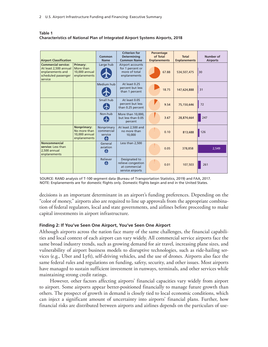| <b>Airport Classification</b>                                                                             |                                                               | Common<br><b>Name</b>                     | Criterion for<br><b>Determining</b><br><b>Common Name</b>                | Percentage<br>of Total<br><b>Enplanements</b> | Total<br><b>Enplanements</b> | Number of<br><b>Airports</b> |
|-----------------------------------------------------------------------------------------------------------|---------------------------------------------------------------|-------------------------------------------|--------------------------------------------------------------------------|-----------------------------------------------|------------------------------|------------------------------|
| <b>Commercial service:</b><br>At least 2,500 annual<br>enplanements and<br>scheduled passenger<br>service | <b>Primary:</b><br>More than<br>10,000 annual<br>enplanements | Large hub                                 | Airport accounts<br>for 1 percent or<br>more of total<br>enplanements    | 67.88                                         | 534,507,475                  | 30                           |
|                                                                                                           |                                                               | Medium hub                                | At least $0.25$<br>percent but less<br>than 1 percent                    | 18.75                                         | 147,624,888                  | 31                           |
|                                                                                                           |                                                               | Small hub                                 | At least 0.05<br>percent but less<br>than 0.25 percent                   | 9.54                                          | 75,150,646                   | 72                           |
|                                                                                                           |                                                               | Non-hub                                   | More than 10,000,<br>but less than 0.05<br>percent                       | 3.67                                          | 28,874,664                   | 247                          |
|                                                                                                           | Nonprimary:<br>No more than<br>10,000 annual<br>enplanements  | Nonprimary<br>commercial<br>service<br>45 | At least 2,500 and<br>no more than<br>10.000                             | 0.10                                          | 813.688                      | 126                          |
| <b>Noncommercial</b><br>service: Less than<br>2,500 annual<br>enplanements                                |                                                               | General<br>aviation<br>G                  | Less than 2,500                                                          | 0.05                                          | 378,858                      | 2,549                        |
|                                                                                                           |                                                               | Reliever<br>A                             | Designated to<br>relieve congestion<br>at commercial<br>service airports | 0.01                                          | 107,503                      | 261                          |

#### **Table 1 Characteristics of National Plan of Integrated Airport Systems Airports, 2018**

SOURCE: RAND analysis of T-100 segment data (Bureau of Transportation Statistics, 2019) and FAA, 2017. NOTE: Enplanements are for domestic flights only. Domestic flights begin and end in the United States.

decisions is an important determinant in an airport's funding preferences. Depending on the "color of money," airports also are required to line up approvals from the appropriate combination of federal regulators, local and state governments, and airlines before proceeding to make capital investments in airport infrastructure.

#### **Finding 2: If You've Seen One Airport, You've Seen One Airport**

Although airports across the nation face many of the same challenges, the financial capabilities and local context of each airport can vary widely. All commercial service airports face the same broad industry trends, such as growing demand for air travel, increasing plane sizes, and vulnerability of airport business models to disruptive technologies, such as ride-hailing services (e.g., Uber and Lyft), self-driving vehicles, and the use of drones. Airports also face the same federal rules and regulations on funding, safety, security, and other issues. Most airports have managed to sustain sufficient investment in runways, terminals, and other services while maintaining strong credit ratings.

However, other factors affecting airports' financial capacities vary widely from airport to airport. Some airports appear better-positioned financially to manage future growth than others. The prospect of growth in demand is closely tied to local economic conditions, which can inject a significant amount of uncertainty into airports' financial plans. Further, how financial risks are distributed between airports and airlines depends on the particulars of use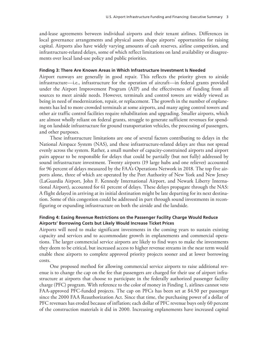and-lease agreements between individual airports and their tenant airlines. Differences in local governance arrangements and physical assets shape airports' opportunities for raising capital. Airports also have widely varying amounts of cash reserves, airline competition, and infrastructure-related delays, some of which reflect limitations on land availability or disagreements over local land-use policy and public priorities.

#### **Finding 3: There Are Known Areas in Which Infrastructure Investment Is Needed**

Airport runways are generally in good repair. This reflects the priority given to airside infrastructure—i.e., infrastructure for the operation of aircraft—in federal grants provided under the Airport Improvement Program (AIP) and the effectiveness of funding from all sources to meet airside needs. However, terminals and control towers are widely viewed as being in need of modernization, repair, or replacement. The growth in the number of enplanements has led to more crowded terminals at some airports, and many aging control towers and other air traffic control facilities require rehabilitation and upgrading. Smaller airports, which are almost wholly reliant on federal grants, struggle to generate sufficient revenues for spending on landside infrastructure for ground transportation vehicles, the processing of passengers, and other purposes.

These infrastructure limitations are one of several factors contributing to delays in the National Airspace System (NAS), and these infrastructure-related delays are thus not spread evenly across the system. Rather, a small number of capacity-constrained airports and airport pairs appear to be responsible for delays that could be partially (but not fully) addressed by sound infrastructure investment. Twenty airports (19 large hubs and one reliever) accounted for 96 percent of delays measured by the FAA's Operations Network in 2018. The top five airports alone, three of which are operated by the Port Authority of New York and New Jersey (LaGuardia Airport, John F. Kennedy International Airport, and Newark Liberty International Airport), accounted for 61 percent of delays. These delays propagate through the NAS: A flight delayed in arriving at its initial destination might be late departing for its next destination. Some of this congestion could be addressed in part through sound investments in reconfiguring or expanding infrastructure on both the airside and the landside.

#### **Finding 4: Easing Revenue Restrictions on the Passenger Facility Charge Would Reduce Airports' Borrowing Costs but Likely Would Increase Ticket Prices**

Airports will need to make significant investments in the coming years to sustain existing capacity and services and to accommodate growth in enplanements and commercial operations. The larger commercial service airports are likely to find ways to make the investments they deem to be critical, but increased access to higher revenue streams in the near term would enable these airports to complete approved priority projects sooner and at lower borrowing costs.

One proposed method for allowing commercial service airports to raise additional revenue is to change the cap on the fee that passengers are charged for their use of airport infrastructure at airports that choose to participate in the federally authorized passenger facility charge (PFC) program. With reference to the color of money in Finding 1, airlines cannot veto FAA-approved PFC-funded projects. The cap on PFCs has been set at \$4.50 per passenger since the 2000 FAA Reauthorization Act. Since that time, the purchasing power of a dollar of PFC revenues has eroded because of inflation; each dollar of PFC revenue buys only 60 percent of the construction materials it did in 2000. Increasing enplanements have increased capital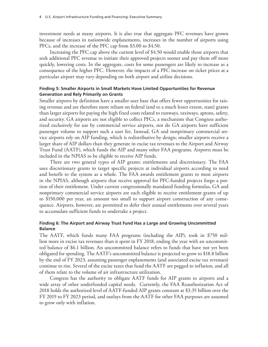investment needs at many airports. It is also true that aggregate PFC revenues have grown because of increases in nationwide enplanements, increases in the number of airports using PFCs, and the increase of the PFC cap from \$3.00 to \$4.50.

Increasing the PFC cap above the current level of \$4.50 would enable those airports that seek additional PFC revenue to initiate their approved projects sooner and pay them off more quickly, lowering costs. In the aggregate, costs for some passengers are likely to increase as a consequence of the higher PFC. However, the impacts of a PFC increase on ticket prices at a particular airport may vary depending on both airport and airline decisions.

#### **Finding 5: Smaller Airports in Small Markets Have Limited Opportunities for Revenue Generation and Rely Primarily on Grants**

Smaller airports by definition have a smaller user base that offers fewer opportunities for raising revenue and are therefore more reliant on federal (and to a much lesser extent, state) grants than larger airports for paying the high fixed costs related to runways, taxiways, aprons, safety, and security. GA airports are not eligible to collect PFCs, a mechanism that Congress authorized exclusively for use by commercial service airports, nor do GA airports have sufficient passenger volume to support such a user fee. Instead, GA and nonprimary commercial service airports rely on AIP funding, which is redistributive by design; smaller airports receive a larger share of AIP dollars than they generate in excise tax revenues to the Airport and Airway Trust Fund (AATF), which funds the AIP and many other FAA programs. Airports must be included in the NPIAS to be eligible to receive AIP funds.

There are two general types of AIP grants: entitlements and discretionary. The FAA uses discretionary grants to target specific projects at individual airports according to need and benefit to the system as a whole. The FAA awards entitlement grants to most airports in the NPIAS, although airports that receive approval for PFC-funded projects forgo a portion of their entitlement. Under current congressionally mandated funding formulas, GA and nonprimary commercial service airports are each eligible to receive entitlement grants of up to \$150,000 per year, an amount too small to support airport construction of any consequence. Airports, however, are permitted to defer their annual entitlements over several years to accumulate sufficient funds to undertake a project.

#### **Finding 6: The Airport and Airway Trust Fund Has a Large and Growing Uncommitted Balance**

The AATF, which funds many FAA programs (including the AIP), took in \$750 million more in excise tax revenues than it spent in FY 2018, ending the year with an uncommitted balance of \$6.1 billion. An uncommitted balance refers to funds that have not yet been obligated for spending. The AATF's uncommitted balance is projected to grow to \$18.8 billion by the end of FY 2023, assuming passenger enplanements (and associated excise tax revenues) continue to rise. Several of the excise taxes that fund the AATF are pegged to inflation, and all of them relate to the volume of air infrastructure utilization.

Congress has the authority to obligate AATF funds for AIP grants to airports and a wide array of other underfunded capital needs. Currently, the FAA Reauthorization Act of 2018 holds the authorized level of AATF-funded AIP grants constant at \$3.35 billion over the FY 2019 to FY 2023 period, and outlays from the AATF for other FAA purposes are assumed to grow only with inflation.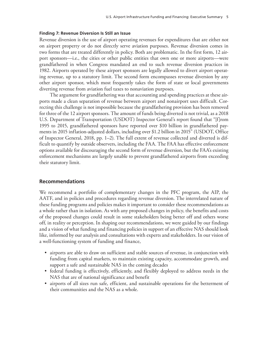#### **Finding 7: Revenue Diversion Is Still an Issue**

Revenue diversion is the use of airport operating revenues for expenditures that are either not on airport property or do not directly serve aviation purposes. Revenue diversion comes in two forms that are treated differently in policy. Both are problematic. In the first form, 12 airport sponsors—i.e., the cities or other public entities that own one or more airports—were grandfathered in when Congress mandated an end to such revenue diversion practices in 1982. Airports operated by these airport sponsors are legally allowed to divert airport operating revenue, up to a statutory limit. The second form encompasses revenue diversion by any other airport sponsor, which most frequently takes the form of state or local governments diverting revenue from aviation fuel taxes to nonaviation purposes.

The argument for grandfathering was that accounting and spending practices at these airports made a clean separation of revenue between airport and nonairport uses difficult. Correcting this challenge is not impossible because the grandfathering provision has been removed for three of the 12 airport sponsors. The amount of funds being diverted is not trivial, as a 2018 U.S. Department of Transportation (USDOT) Inspector General's report found that "[f]rom 1995 to 2015, grandfathered sponsors have reported over \$10 billion in grandfathered payments in 2015 inflation-adjusted dollars, including over \$1.2 billion in 2015" (USDOT, Office of Inspector General, 2018, pp. 1–2). The full extent of revenue collected and diverted is difficult to quantify by outside observers, including the FAA. The FAA has effective enforcement options available for discouraging the second form of revenue diversion, but the FAA's existing enforcement mechanisms are largely unable to prevent grandfathered airports from exceeding their statutory limit.

#### **Recommendations**

We recommend a portfolio of complementary changes in the PFC program, the AIP, the AATF, and in policies and procedures regarding revenue diversion. The interrelated nature of these funding programs and policies makes it important to consider these recommendations as a whole rather than in isolation. As with any proposed changes in policy, the benefits and costs of the proposed changes could result in some stakeholders being better off and others worse off, in reality or perception. In shaping our recommendations, we were guided by our findings and a vision of what funding and financing policies in support of an effective NAS should look like, informed by our analysis and consultations with experts and stakeholders. In our vision of a well-functioning system of funding and finance,

- airports are able to draw on sufficient and stable sources of revenue, in conjunction with funding from capital markets, to maintain existing capacity, accommodate growth, and support a safe and sustainable NAS in the coming decades
- federal funding is effectively, efficiently, and flexibly deployed to address needs in the NAS that are of national significance and benefit
- airports of all sizes run safe, efficient, and sustainable operations for the betterment of their communities and the NAS as a whole.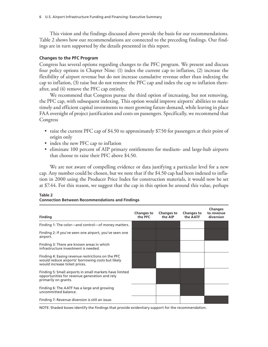This vision and the findings discussed above provide the basis for our recommendations. Table 2 shows how our recommendations are connected to the preceding findings. Our findings are in turn supported by the details presented in this report.

#### **Changes to the PFC Program**

Congress has several options regarding changes to the PFC program. We present and discuss four policy options in Chapter Nine: (1) index the current cap to inflation, (2) increase the flexibility of airport revenue but do not increase cumulative revenue other than indexing the cap to inflation, (3) raise but do not remove the PFC cap and index the cap to inflation thereafter, and (4) remove the PFC cap entirely.

We recommend that Congress pursue the third option of increasing, but not removing, the PFC cap, with subsequent indexing. This option would improve airports' abilities to make timely and efficient capital investments to meet growing future demand, while leaving in place FAA oversight of project justification and costs on passengers. Specifically, we recommend that Congress

- raise the current PFC cap of \$4.50 to approximately \$7.50 for passengers at their point of origin only
- index the new PFC cap to inflation
- eliminate 100 percent of AIP primary entitlements for medium- and large-hub airports that choose to raise their PFC above \$4.50.

We are not aware of compelling evidence or data justifying a particular level for a new cap. Any number could be chosen, but we note that if the \$4.50 cap had been indexed to inflation in 2000 using the Producer Price Index for construction materials, it would now be set at \$7.44. For this reason, we suggest that the cap in this option be around this value, perhaps

| <b>Finding</b>                                                                                                                          | Changes to<br>the PFC | <b>Changes to</b><br>the AIP | Changes to<br>the AATF | <b>Changes</b><br>to revenue<br>diversion |
|-----------------------------------------------------------------------------------------------------------------------------------------|-----------------------|------------------------------|------------------------|-------------------------------------------|
| Finding 1: The color—and control—of money matters.                                                                                      |                       |                              |                        |                                           |
| Finding 2: If you've seen one airport, you've seen one<br>airport.                                                                      |                       |                              |                        |                                           |
| Finding 3: There are known areas in which<br>infrastructure investment is needed.                                                       |                       |                              |                        |                                           |
| Finding 4: Easing revenue restrictions on the PFC<br>would reduce airports' borrowing costs but likely<br>would increase ticket prices. |                       |                              |                        |                                           |
| Finding 5: Small airports in small markets have limited<br>opportunities for revenue generation and rely<br>primarily on grants.        |                       |                              |                        |                                           |
| Finding 6: The AATF has a large and growing<br>uncommitted balance.                                                                     |                       |                              |                        |                                           |
| Finding 7: Revenue diversion is still an issue.                                                                                         |                       |                              |                        |                                           |

#### **Table 2 Connection Between Recommendations and Findings**

NOTE: Shaded boxes identify the findings that provide evidentiary support for the recommendation.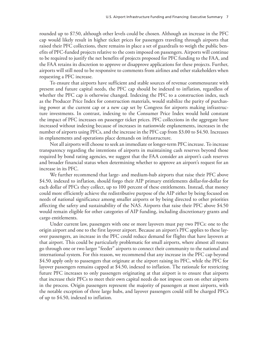rounded up to \$7.50, although other levels could be chosen. Although an increase in the PFC cap would likely result in higher ticket prices for passengers traveling through airports that raised their PFC collections, there remains in place a set of guardrails to weigh the public benefits of PFC-funded projects relative to the costs imposed on passengers. Airports will continue to be required to justify the net benefits of projects proposed for PFC funding to the FAA, and the FAA retains its discretion to approve or disapprove applications for these projects. Further, airports will still need to be responsive to comments from airlines and other stakeholders when requesting a PFC increase.

To ensure that airports have sufficient and stable sources of revenue commensurate with present and future capital needs, the PFC cap should be indexed to inflation, regardless of whether the PFC cap is otherwise changed. Indexing the PFC to a construction index, such as the Producer Price Index for construction materials, would stabilize the parity of purchasing power at the current cap or a new cap set by Congress for airports making infrastructure investments. In contrast, indexing to the Consumer Price Index would hold constant the impact of PFC increases on passenger ticket prices. PFC collections in the aggregate have increased without indexing because of increases in nationwide enplanements, increases in the number of airports using PFCs, and the increase in the PFC cap from \$3.00 to \$4.50. Increases in enplanements and operations place demands on infrastructure.

Not all airports will choose to seek an immediate or longer-term PFC increase. To increase transparency regarding the intentions of airports in maintaining cash reserves beyond those required by bond rating agencies, we suggest that the FAA consider an airport's cash reserves and broader financial status when determining whether to approve an airport's request for an increase in its PFC.

We further recommend that large- and medium-hub airports that raise their PFC above \$4.50, indexed to inflation, should forgo their AIP primary entitlements dollar-for-dollar for each dollar of PFCs they collect, up to 100 percent of these entitlements. Instead, that money could more efficiently achieve the redistributive purpose of the AIP either by being focused on needs of national significance among smaller airports or by being directed to other priorities affecting the safety and sustainability of the NAS. Airports that raise their PFC above \$4.50 would remain eligible for other categories of AIP funding, including discretionary grants and cargo entitlements.

Under current law, passengers with one or more layovers must pay two PFCs: one to the origin airport and one to the first layover airport. Because an airport's PFC applies to these layover passengers, an increase in the PFC could reduce demand for flights that have layovers at that airport. This could be particularly problematic for small airports, where almost all routes go through one or two larger "feeder" airports to connect their community to the national and international system. For this reason, we recommend that any increase in the PFC cap beyond \$4.50 apply only to passengers that originate at the airport raising its PFC, while the PFC for layover passengers remains capped at \$4.50, indexed to inflation. The rationale for restricting future PFC increases to only passengers originating at that airport is to ensure that airports that increase their PFCs to meet their own capital needs do not impose costs on other airports in the process. Origin passengers represent the majority of passengers at most airports, with the notable exception of three large hubs, and layover passengers could still be charged PFCs of up to \$4.50, indexed to inflation.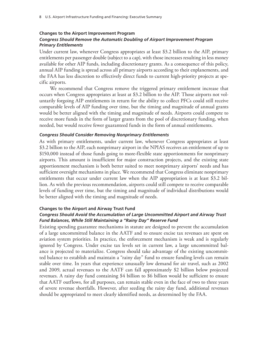#### **Changes to the Airport Improvement Program**

#### *Congress Should Remove the Automatic Doubling of Airport Improvement Program Primary Entitlements*

Under current law, whenever Congress appropriates at least \$3.2 billion to the AIP, primary entitlements per passenger double (subject to a cap), with those increases resulting in less money available for other AIP funds, including discretionary grants. As a consequence of this policy, annual AIP funding is spread across all primary airports according to their enplanements, and the FAA has less discretion to effectively direct funds to current high-priority projects at specific airports.

We recommend that Congress remove the triggered primary entitlement increase that occurs when Congress appropriates at least at \$3.2 billion to the AIP. Those airports not voluntarily forgoing AIP entitlements in return for the ability to collect PFCs could still receive comparable levels of AIP funding over time, but the timing and magnitude of annual grants would be better aligned with the timing and magnitude of needs. Airports could compete to receive more funds in the form of larger grants from the pool of discretionary funding, when needed, but would receive fewer guaranteed funds in the form of annual entitlements.

#### *Congress Should Consider Removing Nonprimary Entitlements*

As with primary entitlements, under current law, whenever Congress appropriates at least \$3.2 billion to the AIP, each nonprimary airport in the NPIAS receives an entitlement of up to \$150,000 instead of those funds going to more-flexible state apportionments for nonprimary airports. This amount is insufficient for major construction projects, and the existing state apportionment mechanism is both better suited to meet nonprimary airports' needs and has sufficient oversight mechanisms in place. We recommend that Congress eliminate nonprimary entitlements that occur under current law when the AIP appropriation is at least \$3.2 billion. As with the previous recommendation, airports could still compete to receive comparable levels of funding over time, but the timing and magnitude of individual distributions would be better aligned with the timing and magnitude of needs.

#### **Changes to the Airport and Airway Trust Fund**

#### *Congress Should Avoid the Accumulation of Large Uncommitted Airport and Airway Trust Fund Balances, While Still Maintaining a "Rainy Day" Reserve Fund*

Existing spending guarantee mechanisms in statute are designed to prevent the accumulation of a large uncommitted balance in the AATF and to ensure excise tax revenues are spent on aviation system priorities. In practice, the enforcement mechanism is weak and is regularly ignored by Congress. Under excise tax levels set in current law, a large uncommitted balance is projected to materialize. Congress should take advantage of the existing uncommitted balance to establish and maintain a "rainy day" fund to ensure funding levels can remain stable over time. In years that experience unusually low demand for air travel, such as 2002 and 2009, actual revenues to the AATF can fall approximately \$2 billion below projected revenues. A rainy day fund containing \$4 billion to \$6 billion would be sufficient to ensure that AATF outflows, for all purposes, can remain stable even in the face of two to three years of severe revenue shortfalls. However, after seeding the rainy day fund, additional revenues should be appropriated to meet clearly identified needs, as determined by the FAA.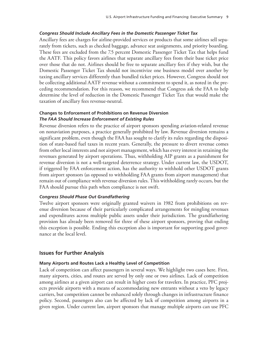#### *Congress Should Include Ancillary Fees in the Domestic Passenger Ticket Tax*

Ancillary fees are charges for airline-provided services or products that some airlines sell separately from tickets, such as checked baggage, advance seat assignments, and priority boarding. These fees are excluded from the 7.5 percent Domestic Passenger Ticket Tax that helps fund the AATF. This policy favors airlines that separate ancillary fees from their base ticket price over those that do not. Airlines should be free to separate ancillary fees if they wish, but the Domestic Passenger Ticket Tax should not incentivize one business model over another by taxing ancillary services differently than bundled ticket prices. However, Congress should not be collecting additional AATF revenue without a commitment to spend it, as noted in the preceding recommendation. For this reason, we recommend that Congress ask the FAA to help determine the level of reduction in the Domestic Passenger Ticket Tax that would make the taxation of ancillary fees revenue-neutral.

#### **Changes to Enforcement of Prohibitions on Revenue Diversion** *The FAA Should Increase Enforcement of Existing Rules*

Revenue diversion refers to the practice of airport sponsors spending aviation-related revenue on nonaviation purposes, a practice generally prohibited by law. Revenue diversion remains a significant problem, even though the FAA has sought to clarify its rules regarding the disposition of state-based fuel taxes in recent years. Generally, the pressure to divert revenue comes from other local interests and not airport management, which has every interest in retaining the revenues generated by airport operations. Thus, withholding AIP grants as a punishment for revenue diversion is not a well-targeted deterrence strategy. Under current law, the USDOT, if triggered by FAA enforcement action, has the authority to withhold other USDOT grants from airport sponsors (as opposed to withholding FAA grants from airport management) that remain out of compliance with revenue diversion rules. This withholding rarely occurs, but the FAA should pursue this path when compliance is not swift.

#### *Congress Should Phase Out Grandfathering*

Twelve airport sponsors were originally granted waivers in 1982 from prohibitions on revenue diversion because of their particularly complicated arrangements for mingling revenues and expenditures across multiple public assets under their jurisdiction. The grandfathering provision has already been removed for three of these airport sponsors, proving that ending this exception is possible. Ending this exception also is important for supporting good governance at the local level.

#### **Issues for Further Analysis**

#### **Many Airports and Routes Lack a Healthy Level of Competition**

Lack of competition can affect passengers in several ways. We highlight two cases here. First, many airports, cities, and routes are served by only one or two airlines. Lack of competition among airlines at a given airport can result in higher costs for travelers. In practice, PFC projects provide airports with a means of accommodating new entrants without a veto by legacy carriers, but competition cannot be enhanced solely through changes in infrastructure finance policy. Second, passengers also can be affected by lack of competition among airports in a given region. Under current law, airport sponsors that manage multiple airports can use PFC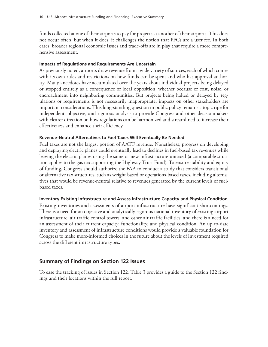funds collected at one of their airports to pay for projects at another of their airports. This does not occur often, but when it does, it challenges the notion that PFCs are a user fee. In both cases, broader regional economic issues and trade-offs are in play that require a more comprehensive assessment.

#### **Impacts of Regulations and Requirements Are Uncertain**

As previously noted, airports draw revenue from a wide variety of sources, each of which comes with its own rules and restrictions on how funds can be spent and who has approval authority. Many anecdotes have accumulated over the years about individual projects being delayed or stopped entirely as a consequence of local opposition, whether because of cost, noise, or encroachment into neighboring communities. But projects being halted or delayed by regulations or requirements is not necessarily inappropriate; impacts on other stakeholders are important considerations. This long-standing question in public policy remains a topic ripe for independent, objective, and rigorous analysis to provide Congress and other decisionmakers with clearer direction on how regulations can be harmonized and streamlined to increase their effectiveness and enhance their efficiency.

#### **Revenue-Neutral Alternatives to Fuel Taxes Will Eventually Be Needed**

Fuel taxes are not the largest portion of AATF revenue. Nonetheless, progress on developing and deploying electric planes could eventually lead to declines in fuel-based tax revenues while leaving the electric planes using the same or new infrastructure untaxed (a comparable situation applies to the gas tax supporting the Highway Trust Fund). To ensure stability and equity of funding, Congress should authorize the FAA to conduct a study that considers transitional or alternative tax structures, such as weight-based or operations-based taxes, including alternatives that would be revenue-neutral relative to revenues generated by the current levels of fuelbased taxes.

#### **Inventory Existing Infrastructure and Assess Infrastructure Capacity and Physical Condition**

Existing inventories and assessments of airport infrastructure have significant shortcomings. There is a need for an objective and analytically rigorous national inventory of existing airport infrastructure, air traffic control towers, and other air traffic facilities, and there is a need for an assessment of their current capacity, functionality, and physical condition. An up-to-date inventory and assessment of infrastructure conditions would provide a valuable foundation for Congress to make more-informed choices in the future about the levels of investment required across the different infrastructure types.

# **Summary of Findings on Section 122 Issues**

To ease the tracking of issues in Section 122, Table 3 provides a guide to the Section 122 findings and their locations within the full report.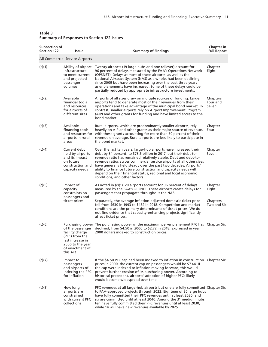| Subsection of<br><b>Section 122</b> | Issue                                                                                                                        | <b>Summary of Findings</b>                                                                                                                                                                                                                                                                                                                                                                                                                                                                                               | Chapter in<br><b>Full Report</b>            |
|-------------------------------------|------------------------------------------------------------------------------------------------------------------------------|--------------------------------------------------------------------------------------------------------------------------------------------------------------------------------------------------------------------------------------------------------------------------------------------------------------------------------------------------------------------------------------------------------------------------------------------------------------------------------------------------------------------------|---------------------------------------------|
|                                     | All Commercial Service Airports                                                                                              |                                                                                                                                                                                                                                                                                                                                                                                                                                                                                                                          |                                             |
| (c)(1)                              | Ability of airport<br>infrastructure<br>to meet current<br>and projected<br>passenger<br>volumes                             | Twenty airports (19 large hubs and one reliever) account for<br>96 percent of delays measured by the FAA's Operations Network<br>(OPSNET). Delays at most of these airports, as well as the<br>National Airspace System (NAS) as a whole, had been declining<br>since 2009 but have been increasing over the past three years<br>as enplanements have increased. Some of these delays could be<br>partially reduced by appropriate infrastructure investments.                                                           | Chapter<br>Eight                            |
| (c)(2)                              | Available<br>financial tools<br>and resources<br>for airports of<br>different sizes                                          | Airports of all sizes draw on multiple sources of funding. Larger<br>airports tend to generate most of their revenues from their<br>operations and take advantage of the municipal bond market. In<br>contrast, smaller airports rely on Airport Improvement Program<br>(AIP) and other grants for funding and have limited access to the<br>bond market.                                                                                                                                                                | Chapters<br>Four and<br>Seven               |
| (c)(3)                              | Available<br>financing tools<br>and resources for<br>airports in rural<br>areas                                              | Rural airports, which are predominantly smaller airports, rely<br>heavily on AIP and other grants as their major source of revenue,<br>with these grants accounting for more than 50 percent of their<br>revenue on average. Rural airports are less likely to participate in<br>the bond market.                                                                                                                                                                                                                        | Chapter<br>Four                             |
| (c)(4)                              | Current debt<br>held by airports<br>and its impact<br>on future<br>construction and<br>capacity needs                        | Over the last ten years, large-hub airports have increased their<br>debt by 34 percent, to \$73.6 billion in 2017, but their debt-to-<br>revenue ratio has remained relatively stable. Debt and debt-to-<br>revenue ratios across commercial service airports of all other sizes<br>have generally held steady over the past two decades. Airports'<br>ability to finance future construction and capacity needs will<br>depend on their financial status, regional and local economic<br>conditions, and other factors. | Chapter<br>Seven                            |
| (c)(5)                              | Impact of<br>capacity<br>constraints on<br>passengers and<br>ticket prices                                                   | As noted in (c)(1), 20 airports account for 96 percent of delays<br>measured by the FAA's OPSNET. These airports create delays for<br>passengers that propagate throughout the NAS.<br>Separately, the average inflation-adjusted domestic ticket price<br>fell from \$630 in 1993 to \$432 in 2018. Competition and market<br>conditions are the primary determinants of ticket prices. We do<br>not find evidence that capacity-enhancing projects significantly<br>affect ticket prices.                              | Chapter<br>Eight<br>Chapters<br>Two and Six |
| (c)(6)                              | of the passenger<br>facility charge<br>(PFC) from the<br>last increase in<br>2000 to the year<br>of enactment of<br>this Act | Purchasing power The purchasing power of the maximum per-enplanement PFC has Chapter Six<br>declined, from \$4.50 in 2000 to \$2.72 in 2018, expressed in year<br>2000 dollars indexed to construction prices.                                                                                                                                                                                                                                                                                                           |                                             |
| (c)(7)                              | Impact to<br>passengers<br>and airports of<br>indexing the PFC<br>for inflation                                              | If the \$4.50 PFC cap had been indexed to inflation in construction Chapter Six<br>prices in 2000, the current cap on passengers would be \$7.44. If<br>the cap were indexed to inflation moving forward, this would<br>prevent further erosion of its purchasing power. According to<br>historical precedent, airports' adoption of higher PFCs likely<br>would become widespread over time.                                                                                                                            |                                             |
| (c)(8)                              | How long<br>airports are<br>constrained<br>with current PFC<br>collections                                                   | PFC revenues at all large-hub airports but one are fully committed Chapter Six<br>to FAA-approved projects through 2022. Eighteen of 30 large hubs<br>have fully committed their PFC revenues until at least 2030, and<br>six are committed until at least 2040. Among the 31 medium hubs,<br>ten have fully committed their PFC revenues until at least 2030,<br>while 14 will have new revenues available by 2025.                                                                                                     |                                             |

#### **Table 3 Summary of Responses to Section 122 Issues**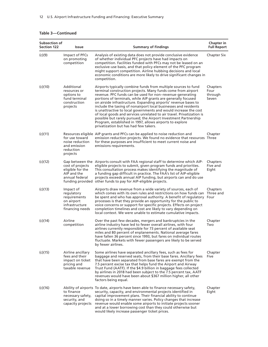#### **Table 3—Continued**

| <b>Subsection of</b><br><b>Section 122</b> | Issue                                                                                      | <b>Summary of Findings</b>                                                                                                                                                                                                                                                                                                                                                                                                                                                                                                                                                                                                                                                                                              | Chapter in<br><b>Full Report</b>     |
|--------------------------------------------|--------------------------------------------------------------------------------------------|-------------------------------------------------------------------------------------------------------------------------------------------------------------------------------------------------------------------------------------------------------------------------------------------------------------------------------------------------------------------------------------------------------------------------------------------------------------------------------------------------------------------------------------------------------------------------------------------------------------------------------------------------------------------------------------------------------------------------|--------------------------------------|
| (c)(9)                                     | Impact of PFCs<br>on promoting<br>competition                                              | Analysis of existing data does not provide conclusive evidence<br>of whether individual PFC projects have had impacts on<br>competition. Facilities funded with PFCs may not be leased on an<br>exclusive-use basis, and that policy element of the PFC program<br>might support competition. Airline hubbing decisions and local<br>economic conditions are more likely to drive significant changes in<br>competition.                                                                                                                                                                                                                                                                                                | Chapter Six                          |
| (c)(10)                                    | Additional<br>resources or<br>options to<br>fund terminal<br>construction<br>projects      | Airports typically combine funds from multiple sources to fund<br>terminal construction projects. Many funds come from airport<br>revenue. PFC funds can be used for non-revenue-generating<br>portions of terminals, while AIP grants are generally focused<br>on airside infrastructure. Expanding airports' revenue bases to<br>include the taxing of nonairport local businesses and residents<br>is unattractive to local governments and would increase the cost<br>of local goods and services unrelated to air travel. Privatization is<br>possible but rarely pursued; the Airport Investment Partnership<br>Program, established in 1997, allows airports to explore<br>privatization but has had few takers. | Chapters<br>Four<br>through<br>Seven |
| (c)(11)                                    | for use toward<br>noise reduction<br>and emission<br>reduction<br>projects                 | Resources eligible AIP grants and PFCs can be applied to noise reduction and<br>emission reduction projects. We found no evidence that resources Three<br>for these purposes are insufficient to meet current noise and<br>emissions requirements.                                                                                                                                                                                                                                                                                                                                                                                                                                                                      | Chapter                              |
| (c)(12)                                    | cost of projects<br>eligible for the<br>AIP and the<br>annual federal                      | Gap between the Airports consult with FAA regional staff to determine which AIP-<br>eligible projects to submit, given program funds and priorities.<br>This consultation process makes identifying the magnitude of<br>a funding gap difficult in practice. The FAA's list of AIP-eligible<br>projects exceeds annual AIP funding, but airports can and do use<br>funding provided other funds to pay for AIP-eligible projects.                                                                                                                                                                                                                                                                                       | Chapters<br>Five and<br>Eight        |
| (c)(13)                                    | Impact of<br>regulatory<br>requirements<br>on airport<br>infrastructure<br>financing needs | Airports draw revenue from a wide variety of sources, each of<br>which comes with its own rules and restrictions on how funds can<br>be spent and who has approval authority. A benefit of regulatory Four<br>processes is that they provide an opportunity for the public to<br>voice concerns or support for specific projects. Effects on project<br>completion timelines and cost are likely to vary depending on<br>local context. We were unable to estimate cumulative impacts.                                                                                                                                                                                                                                  | Chapters<br>Three and                |
| (c)(14)                                    | Airline<br>competition                                                                     | Over the past few decades, mergers and bankruptcies in the<br>airline industry have led to fewer overall airlines, with four<br>airlines currently responsible for 73 percent of available seat<br>miles and 80 percent of enplanements. National average fares<br>have fallen 36 percent since 1993, but fares on individual routes<br>fluctuate. Markets with fewer passengers are likely to be served<br>by fewer airlines.                                                                                                                                                                                                                                                                                          | Chapter<br>Two                       |
| (c)(15)                                    | Airline ancillary<br>fees and their<br>impact on ticket<br>pricing and<br>taxable revenue  | Some airlines have separated ancillary fees, such as fees for<br>baggage and reserved seats, from their base fares. Ancillary fees<br>that have been separated from base fares are exempt from the<br>7.5 percent excise tax that helps fund the Airport and Airway<br>Trust Fund (AATF). If the \$4.9 billion in baggage fees collected<br>by airlines in 2018 had been subject to the 7.5 percent tax, AATF<br>revenues would have been about \$367 million higher, all other<br>factors being equal.                                                                                                                                                                                                                 | Chapter<br>Five                      |
| (c)(16)                                    | to finance<br>necessary safety,<br>security, and<br>capacity projects                      | Ability of airports To date, airports have been able to finance necessary safety,<br>security, capacity, and environmental projects identified in<br>capital improvement plans. Their financial ability to continue<br>doing so in a timely manner varies. Policy changes that increase<br>revenue would enable some airports to initiate projects sooner<br>and at a lower borrowing cost than they could otherwise but<br>would likely increase passenger ticket prices.                                                                                                                                                                                                                                              | Chapter<br>Eight                     |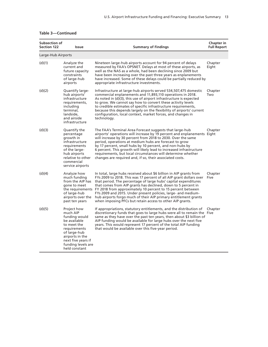| Table 3—Continued |  |  |
|-------------------|--|--|
|                   |  |  |

| Subsection of<br><b>Section 122</b> | Issue                                                                                                                                                                                   | <b>Summary of Findings</b>                                                                                                                                                                                                                                                                                                                                                                                                                                                                                                                                     | Chapter in<br><b>Full Report</b> |
|-------------------------------------|-----------------------------------------------------------------------------------------------------------------------------------------------------------------------------------------|----------------------------------------------------------------------------------------------------------------------------------------------------------------------------------------------------------------------------------------------------------------------------------------------------------------------------------------------------------------------------------------------------------------------------------------------------------------------------------------------------------------------------------------------------------------|----------------------------------|
| Large-Hub Airports                  |                                                                                                                                                                                         |                                                                                                                                                                                                                                                                                                                                                                                                                                                                                                                                                                |                                  |
| (d)(1)                              | Analyze the<br>current and<br>future capacity<br>constraints<br>of large-hub<br>airports                                                                                                | Nineteen large-hub airports account for 94 percent of delays<br>measured by FAA's OPSNET. Delays at most of these airports, as<br>well as the NAS as a whole, had been declining since 2009 but<br>have been increasing over the past three years as enplanements<br>have increased. Some of these delays could be partially reduced by<br>appropriate infrastructure investments.                                                                                                                                                                             | Chapter<br>Eight                 |
| (d)(2)                              | Quantify large-<br>hub airports'<br>infrastructure<br>requirements,<br>including<br>terminal,<br>landside,<br>and airside<br>infrastructure                                             | Infrastructure at large-hub airports served 534,507,475 domestic<br>commercial enplanements and 11,893,110 operations in 2018.<br>As noted in (d)(3), this use of airport infrastructure is expected<br>to grow. We cannot say how to convert these activity levels<br>to credible estimates of specific infrastructure requirements,<br>because this depends largely on the flexibility of airports' current<br>configuration, local context, market forces, and changes in<br>technology.                                                                    | Chapter<br>Two                   |
| (d)(3)                              | Quantify the<br>percentage<br>growth in<br>infrastructure<br>requirements<br>of the large-<br>hub airports<br>relative to other<br>commercial<br>service airports                       | The FAA's Terminal Area Forecast suggests that large-hub<br>airports' operations will increase by 19 percent and enplanements Eight<br>will increase by 30 percent from 2018 to 2030. Over the same<br>period, operations at medium hubs are forecast to grow<br>by 17 percent, small hubs by 10 percent, and non-hubs by<br>6 percent. This growth will likely lead to increased infrastructure<br>requirements, but local circumstances will determine whether<br>changes are required and, if so, their associated costs.                                   | Chapter                          |
| (d)(4)                              | Analyze how<br>much funding<br>from the AIP has<br>gone to meet<br>of large-hub<br>airports over the<br>past ten years                                                                  | In total, large hubs received about \$6 billion in AIP grants from<br>FYs 2009 to 2018. This was 17 percent of all AIP grant dollars over<br>that period. The percentage of large hubs' capital expenditures<br>that comes from AIP grants has declined, down to 5 percent in<br>the requirements FY 2018 from approximately 10 percent to 15 percent between<br>FYs 2009 and 2015. Under present policies, large- and medium-<br>hub airports forgo much of their AIP primary entitlement grants<br>when imposing PFCs but retain access to other AIP grants. | Chapter<br>Five                  |
| (d)(5)                              | Project how<br>much AIP<br>funding would<br>be available<br>to meet the<br>requirements<br>of large-hub<br>airports in the<br>next five years if<br>funding levels are<br>held constant | If appropriations, statutory entitlements, and the distribution of<br>discretionary funds that goes to large hubs were all to remain the Five<br>same as they have over the past ten years, then about \$3 billion of<br>AIP funding would be available for large hubs over the next five<br>years. This would represent 17 percent of the total AIP funding<br>that would be available over this five-year period.                                                                                                                                            | Chapter                          |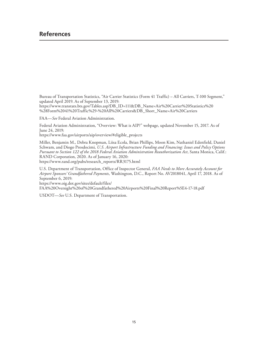# **References**

Bureau of Transportation Statistics, "Air Carrier Statistics (Form 41 Traffic) – All Carriers, T-100 Segment," updated April 2019. As of September 13, 2019:

[https://www.transtats.bts.gov/Tables.asp?DB\\_ID=111&DB\\_Name=Air%20Carrier%20Statistics%20](https://www.transtats.bts.gov/Tables.asp?DB_ID=111&DB_Name=Air%20Carrier%20Statistics%20%28Form%2041%20Traffic%29-%20All%20Carriers&DB_Short_Name=Air%20Carriers) %28Form%2041%20Traffic%29-%20All%20Carriers&DB\_Short\_Name=Air%20Carriers

FAA—*See* Federal Aviation Administration.

Federal Aviation Administration, "Overview: What is AIP?" webpage, updated November 15, 2017. As of June 24, 2019:

[https://www.faa.gov/airports/aip/overview/#eligible\\_projects](https://www.faa.gov/airports/aip/overview/#eligible_projects)

Miller, Benjamin M., Debra Knopman, Liisa Ecola, Brian Phillips, Moon Kim, Nathaniel Edenfield, Daniel Schwam, and Diogo Prosdocimi, *U.S. Airport Infrastructure Funding and Financing: Issues and Policy Options Pursuant to Section 122 of the 2018 Federal Aviation Administration Reauthorization Act*, Santa Monica, Calif.: RAND Corporation, 2020. As of January 16, 2020:

[https://www.rand.org/pubs/research\\_reports/RR3175.html](https://www.rand.org/pubs/research_reports/RR3175.html)

U.S. Department of Transportation, Office of Inspector General, *FAA Needs to More Accurately Account for Airport Sponsors' Grandfathered Payments*, Washington, D.C., Report No. AV2018041, April 17, 2018. As of September 6, 2019:

https://www.oig.dot.gov/sites/default/files/

[FAA%20Oversight%20of%20Grandfathered%20Airports%20Final%20Report%5E4-17-18.pdf](https://www.oig.dot.gov/sites/default/files/FAA%20Oversight%20of%20Grandfathered%20Airports%20Final%20Report%5E4-17-18.pdf)

USDOT—*See* U.S. Department of Transportation.